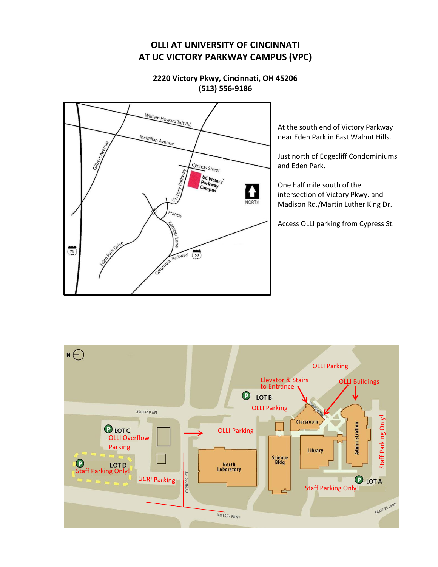# **OLLI AT UNIVERSITY OF CINCINNATI AT UC VICTORY PARKWAY CAMPUS (VPC)**





At the south end of Victory Parkway near Eden Park in East Walnut Hills.

Just north of Edgecliff Condominiums and Eden Park.

One half mile south of the intersection of Victory Pkwy. and Madison Rd./Martin Luther King Dr.

Access OLLI parking from Cypress St.